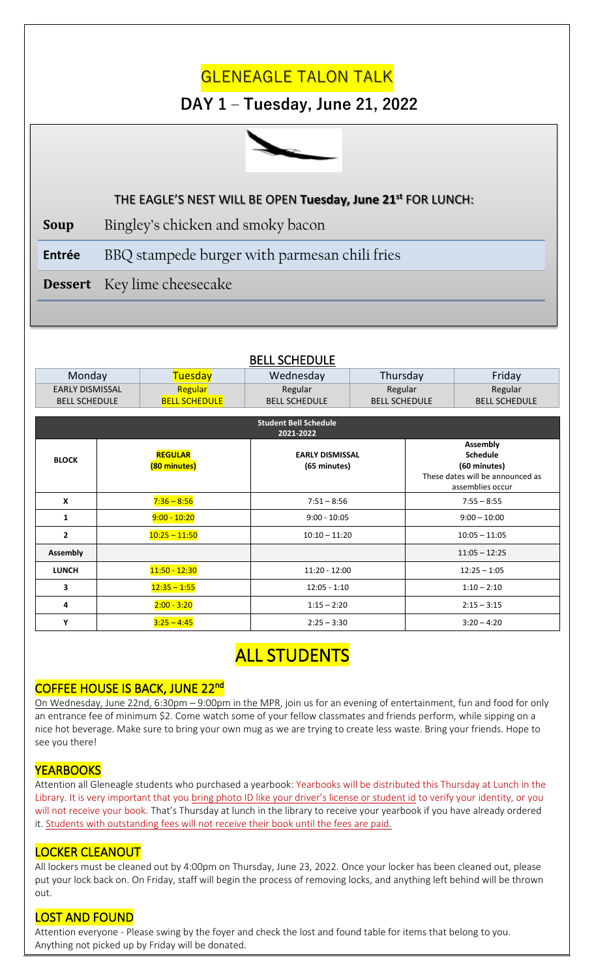# **GLENEAGLE TALON TALK**

## **DAY 1 – Tuesday, June 21, 2022**



#### **STUDENT SECTION** THE EAGLE'S NEST WILL BE OPEN **Tuesday, June 21 st** FOR LUNCH:

**Soup** Bingley's chicken and smoky bacon

**Entrée** BBQ stampede burger with parmesan chili fries

**Dessert** Key lime cheesecake

|--|

| Monday                                    |                                  | <b>Tuesday</b>       | Wednesday                              | Thursday             |                                                                                                            | Friday               |  |
|-------------------------------------------|----------------------------------|----------------------|----------------------------------------|----------------------|------------------------------------------------------------------------------------------------------------|----------------------|--|
| <b>EARLY DISMISSAL</b>                    |                                  | Regular              | Regular                                | Regular              |                                                                                                            | Regular              |  |
| <b>BELL SCHEDULE</b>                      |                                  | <b>BELL SCHEDULE</b> | <b>BELL SCHEDULE</b>                   | <b>BELL SCHEDULE</b> |                                                                                                            | <b>BELL SCHEDULE</b> |  |
| <b>Student Bell Schedule</b><br>2021-2022 |                                  |                      |                                        |                      |                                                                                                            |                      |  |
| <b>BLOCK</b>                              | <b>REGULAR</b><br>(80 minutes)   |                      | <b>EARLY DISMISSAL</b><br>(65 minutes) |                      | <b>Assembly</b><br><b>Schedule</b><br>(60 minutes)<br>These dates will be announced as<br>assemblies occur |                      |  |
| $\boldsymbol{\mathsf{x}}$                 |                                  | $7:36 - 8:56$        | $7:51 - 8:56$                          |                      | $7:55 - 8:55$                                                                                              |                      |  |
| 1                                         | $9:00 - 10:20$<br>$9:00 - 10:05$ |                      | $9:00 - 10:00$                         |                      |                                                                                                            |                      |  |
| $\mathbf{2}$                              | $10:25 - 11:50$                  |                      | $10:10 - 11:20$                        |                      | $10:05 - 11:05$                                                                                            |                      |  |
| <b>Assembly</b>                           |                                  |                      |                                        |                      |                                                                                                            | $11:05 - 12:25$      |  |
| <b>LUNCH</b>                              |                                  | $11:50 - 12:30$      | $11:20 - 12:00$                        |                      | $12:25 - 1:05$                                                                                             |                      |  |
| 3                                         |                                  | $12:35 - 1:55$       | $12:05 - 1:10$                         |                      | $1:10 - 2:10$                                                                                              |                      |  |
| 4                                         |                                  | $2:00 - 3:20$        | $1:15 - 2:20$                          |                      | $2:15 - 3:15$                                                                                              |                      |  |
| Υ                                         |                                  | $3:25 - 4:45$        | $2:25 - 3:30$                          |                      | $3:20 - 4:20$                                                                                              |                      |  |

## **ALL STUDENTS**

## COFFEE HOUSE IS BACK, JUNE 22<sup>nd</sup>

On Wednesday, June 22nd, 6:30pm – 9:00pm in the MPR, join us for an evening of entertainment, fun and food for only an entrance fee of minimum \$2. Come watch some of your fellow classmates and friends perform, while sipping on a nice hot beverage. Make sure to bring your own mug as we are trying to create less waste. Bring your friends. Hope to see you there!

#### **YEARBOOKS**

Attention all Gleneagle students who purchased a yearbook: Yearbooks will be distributed this Thursday at Lunch in the Library. It is very important that you bring photo ID like your driver's license or student id to verify your identity, or you will not receive your book. That's Thursday at lunch in the library to receive your yearbook if you have already ordered it. Students with outstanding fees will not receive their book until the fees are paid.

### LOCKER CLEANOUT

All lockers must be cleaned out by 4:00pm on Thursday, June 23, 2022. Once your locker has been cleaned out, please put your lock back on. On Friday, staff will begin the process of removing locks, and anything left behind will be thrown out.

### LOST AND FOUND

Attention everyone - Please swing by the foyer and check the lost and found table for items that belong to you. Anything not picked up by Friday will be donated.